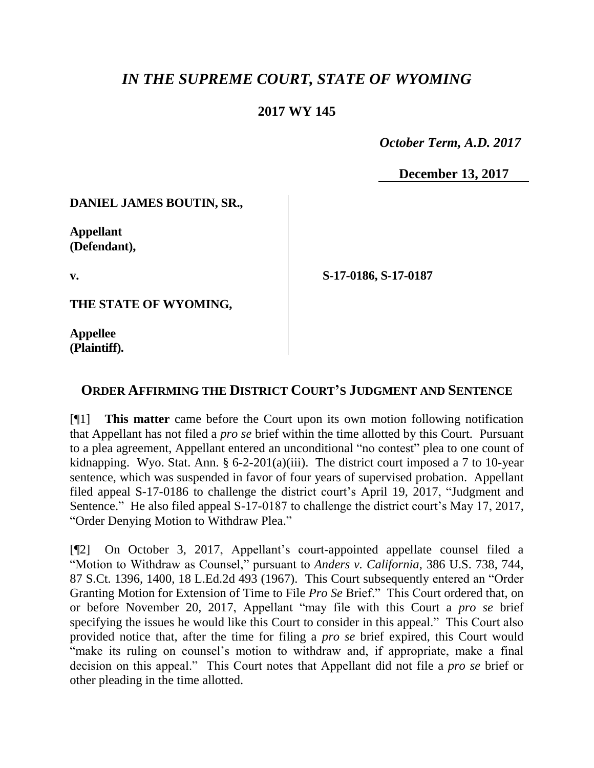## *IN THE SUPREME COURT, STATE OF WYOMING*

## **2017 WY 145**

 *October Term, A.D. 2017*

**December 13, 2017**

**DANIEL JAMES BOUTIN, SR.,**

**Appellant (Defendant),**

**v.**

**S-17-0186, S-17-0187**

**THE STATE OF WYOMING,**

**Appellee (Plaintiff).**

## **ORDER AFFIRMING THE DISTRICT COURT'S JUDGMENT AND SENTENCE**

[¶1] **This matter** came before the Court upon its own motion following notification that Appellant has not filed a *pro se* brief within the time allotted by this Court. Pursuant to a plea agreement, Appellant entered an unconditional "no contest" plea to one count of kidnapping. Wyo. Stat. Ann. § 6-2-201(a)(iii). The district court imposed a 7 to 10-year sentence, which was suspended in favor of four years of supervised probation. Appellant filed appeal S-17-0186 to challenge the district court's April 19, 2017, "Judgment and Sentence." He also filed appeal S-17-0187 to challenge the district court's May 17, 2017, "Order Denying Motion to Withdraw Plea."

[¶2] On October 3, 2017, Appellant's court-appointed appellate counsel filed a "Motion to Withdraw as Counsel," pursuant to *Anders v. California*, 386 U.S. 738, 744, 87 S.Ct. 1396, 1400, 18 L.Ed.2d 493 (1967). This Court subsequently entered an "Order Granting Motion for Extension of Time to File *Pro Se* Brief." This Court ordered that, on or before November 20, 2017, Appellant "may file with this Court a *pro se* brief specifying the issues he would like this Court to consider in this appeal." This Court also provided notice that, after the time for filing a *pro se* brief expired, this Court would "make its ruling on counsel's motion to withdraw and, if appropriate, make a final decision on this appeal." This Court notes that Appellant did not file a *pro se* brief or other pleading in the time allotted.